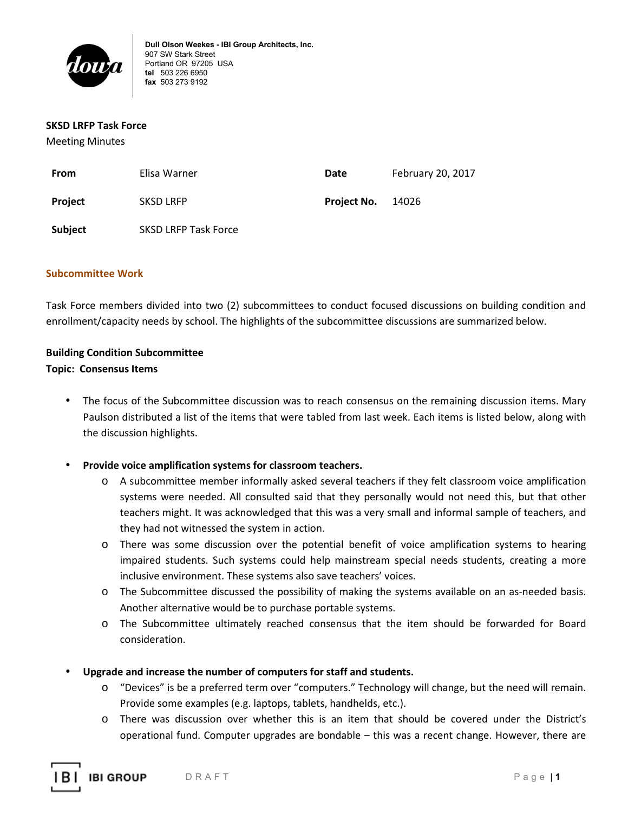

#### **SKSD LRFP Task Force**

Meeting Minutes

| From           | Elisa Warner                | Date        | February 20, 2017 |
|----------------|-----------------------------|-------------|-------------------|
| Project        | <b>SKSD LRFP</b>            | Project No. | 14026             |
| <b>Subject</b> | <b>SKSD LRFP Task Force</b> |             |                   |

#### **Subcommittee Work**

Task Force members divided into two (2) subcommittees to conduct focused discussions on building condition and enrollment/capacity needs by school. The highlights of the subcommittee discussions are summarized below.

# **Building Condition Subcommittee**

#### **Topic: Consensus Items**

The focus of the Subcommittee discussion was to reach consensus on the remaining discussion items. Mary Paulson distributed a list of the items that were tabled from last week. Each items is listed below, along with the discussion highlights.

## • **Provide voice amplification systems for classroom teachers.**

- o A subcommittee member informally asked several teachers if they felt classroom voice amplification systems were needed. All consulted said that they personally would not need this, but that other teachers might. It was acknowledged that this was a very small and informal sample of teachers, and they had not witnessed the system in action.
- o There was some discussion over the potential benefit of voice amplification systems to hearing impaired students. Such systems could help mainstream special needs students, creating a more inclusive environment. These systems also save teachers' voices.
- o The Subcommittee discussed the possibility of making the systems available on an as-needed basis. Another alternative would be to purchase portable systems.
- o The Subcommittee ultimately reached consensus that the item should be forwarded for Board consideration.
- **Upgrade and increase the number of computers for staff and students.** 
	- o "Devices" is be a preferred term over "computers." Technology will change, but the need will remain. Provide some examples (e.g. laptops, tablets, handhelds, etc.).
	- o There was discussion over whether this is an item that should be covered under the District's operational fund. Computer upgrades are bondable – this was a recent change. However, there are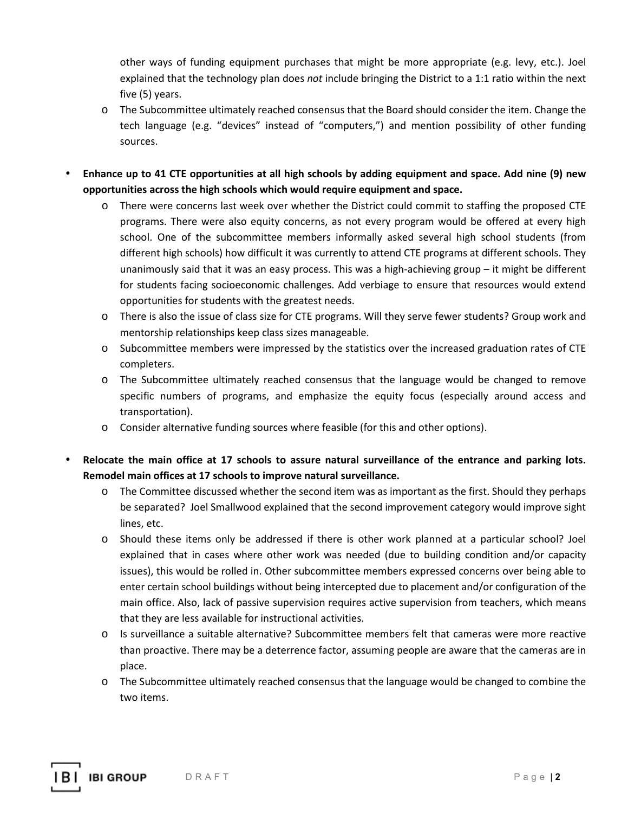other ways of funding equipment purchases that might be more appropriate (e.g. levy, etc.). Joel explained that the technology plan does *not* include bringing the District to a 1:1 ratio within the next five (5) years.

- o The Subcommittee ultimately reached consensus that the Board should consider the item. Change the tech language (e.g. "devices" instead of "computers,") and mention possibility of other funding sources.
- **Enhance up to 41 CTE opportunities at all high schools by adding equipment and space. Add nine (9) new opportunities across the high schools which would require equipment and space.** 
	- o There were concerns last week over whether the District could commit to staffing the proposed CTE programs. There were also equity concerns, as not every program would be offered at every high school. One of the subcommittee members informally asked several high school students (from different high schools) how difficult it was currently to attend CTE programs at different schools. They unanimously said that it was an easy process. This was a high-achieving group – it might be different for students facing socioeconomic challenges. Add verbiage to ensure that resources would extend opportunities for students with the greatest needs.
	- o There is also the issue of class size for CTE programs. Will they serve fewer students? Group work and mentorship relationships keep class sizes manageable.
	- o Subcommittee members were impressed by the statistics over the increased graduation rates of CTE completers.
	- o The Subcommittee ultimately reached consensus that the language would be changed to remove specific numbers of programs, and emphasize the equity focus (especially around access and transportation).
	- o Consider alternative funding sources where feasible (for this and other options).
- **Relocate the main office at 17 schools to assure natural surveillance of the entrance and parking lots. Remodel main offices at 17 schools to improve natural surveillance.** 
	- o The Committee discussed whether the second item was as important as the first. Should they perhaps be separated? Joel Smallwood explained that the second improvement category would improve sight lines, etc.
	- o Should these items only be addressed if there is other work planned at a particular school? Joel explained that in cases where other work was needed (due to building condition and/or capacity issues), this would be rolled in. Other subcommittee members expressed concerns over being able to enter certain school buildings without being intercepted due to placement and/or configuration of the main office. Also, lack of passive supervision requires active supervision from teachers, which means that they are less available for instructional activities.
	- o Is surveillance a suitable alternative? Subcommittee members felt that cameras were more reactive than proactive. There may be a deterrence factor, assuming people are aware that the cameras are in place.
	- o The Subcommittee ultimately reached consensus that the language would be changed to combine the two items.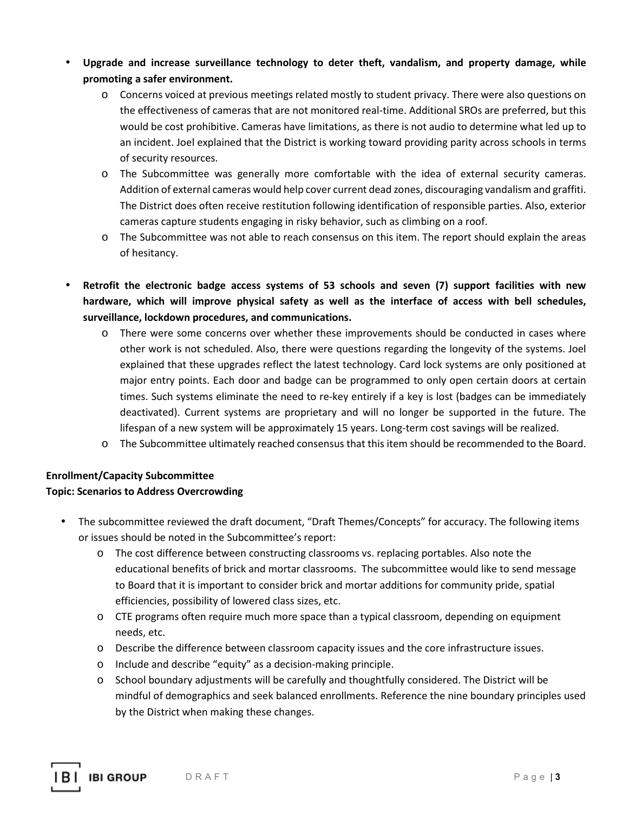- **Upgrade and increase surveillance technology to deter theft, vandalism, and property damage, while promoting a safer environment.** 
	- o Concerns voiced at previous meetings related mostly to student privacy. There were also questions on the effectiveness of cameras that are not monitored real-time. Additional SROs are preferred, but this would be cost prohibitive. Cameras have limitations, as there is not audio to determine what led up to an incident. Joel explained that the District is working toward providing parity across schools in terms of security resources.
	- o The Subcommittee was generally more comfortable with the idea of external security cameras. Addition of external cameras would help cover current dead zones, discouraging vandalism and graffiti. The District does often receive restitution following identification of responsible parties. Also, exterior cameras capture students engaging in risky behavior, such as climbing on a roof.
	- o The Subcommittee was not able to reach consensus on this item. The report should explain the areas of hesitancy.
- **Retrofit the electronic badge access systems of 53 schools and seven (7) support facilities with new hardware, which will improve physical safety as well as the interface of access with bell schedules, surveillance, lockdown procedures, and communications.** 
	- o There were some concerns over whether these improvements should be conducted in cases where other work is not scheduled. Also, there were questions regarding the longevity of the systems. Joel explained that these upgrades reflect the latest technology. Card lock systems are only positioned at major entry points. Each door and badge can be programmed to only open certain doors at certain times. Such systems eliminate the need to re-key entirely if a key is lost (badges can be immediately deactivated). Current systems are proprietary and will no longer be supported in the future. The lifespan of a new system will be approximately 15 years. Long-term cost savings will be realized.
	- o The Subcommittee ultimately reached consensus that this item should be recommended to the Board.

## **Enrollment/Capacity Subcommittee Topic: Scenarios to Address Overcrowding**

- The subcommittee reviewed the draft document, "Draft Themes/Concepts" for accuracy. The following items or issues should be noted in the Subcommittee's report:
	- o The cost difference between constructing classrooms vs. replacing portables. Also note the educational benefits of brick and mortar classrooms. The subcommittee would like to send message to Board that it is important to consider brick and mortar additions for community pride, spatial efficiencies, possibility of lowered class sizes, etc.
	- o CTE programs often require much more space than a typical classroom, depending on equipment needs, etc.
	- o Describe the difference between classroom capacity issues and the core infrastructure issues.
	- o Include and describe "equity" as a decision-making principle.
	- o School boundary adjustments will be carefully and thoughtfully considered. The District will be mindful of demographics and seek balanced enrollments. Reference the nine boundary principles used by the District when making these changes.